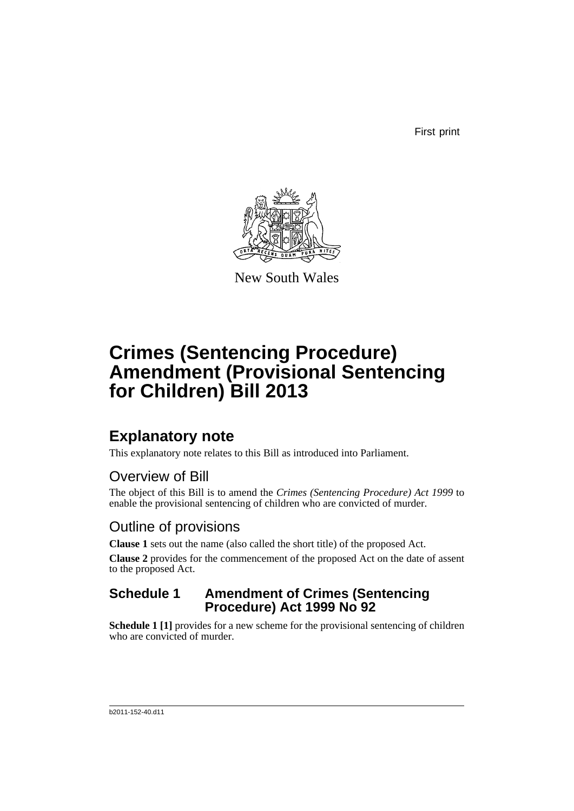First print



New South Wales

# **Crimes (Sentencing Procedure) Amendment (Provisional Sentencing for Children) Bill 2013**

## **Explanatory note**

This explanatory note relates to this Bill as introduced into Parliament.

## Overview of Bill

The object of this Bill is to amend the *Crimes (Sentencing Procedure) Act 1999* to enable the provisional sentencing of children who are convicted of murder.

## Outline of provisions

**Clause 1** sets out the name (also called the short title) of the proposed Act.

**Clause 2** provides for the commencement of the proposed Act on the date of assent to the proposed Act.

### **Schedule 1 Amendment of Crimes (Sentencing Procedure) Act 1999 No 92**

**Schedule 1 [1]** provides for a new scheme for the provisional sentencing of children who are convicted of murder.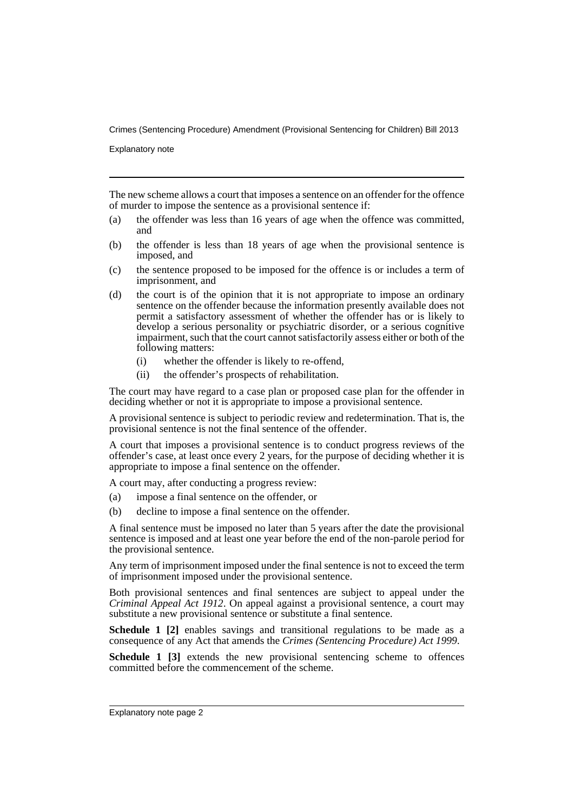Explanatory note

The new scheme allows a court that imposes a sentence on an offender for the offence of murder to impose the sentence as a provisional sentence if:

- (a) the offender was less than 16 years of age when the offence was committed, and
- (b) the offender is less than 18 years of age when the provisional sentence is imposed, and
- (c) the sentence proposed to be imposed for the offence is or includes a term of imprisonment, and
- (d) the court is of the opinion that it is not appropriate to impose an ordinary sentence on the offender because the information presently available does not permit a satisfactory assessment of whether the offender has or is likely to develop a serious personality or psychiatric disorder, or a serious cognitive impairment, such that the court cannot satisfactorily assess either or both of the following matters:
	- (i) whether the offender is likely to re-offend,
	- (ii) the offender's prospects of rehabilitation.

The court may have regard to a case plan or proposed case plan for the offender in deciding whether or not it is appropriate to impose a provisional sentence.

A provisional sentence is subject to periodic review and redetermination. That is, the provisional sentence is not the final sentence of the offender.

A court that imposes a provisional sentence is to conduct progress reviews of the offender's case, at least once every 2 years, for the purpose of deciding whether it is appropriate to impose a final sentence on the offender.

A court may, after conducting a progress review:

- (a) impose a final sentence on the offender, or
- (b) decline to impose a final sentence on the offender.

A final sentence must be imposed no later than 5 years after the date the provisional sentence is imposed and at least one year before the end of the non-parole period for the provisional sentence.

Any term of imprisonment imposed under the final sentence is not to exceed the term of imprisonment imposed under the provisional sentence.

Both provisional sentences and final sentences are subject to appeal under the *Criminal Appeal Act 1912*. On appeal against a provisional sentence, a court may substitute a new provisional sentence or substitute a final sentence.

**Schedule 1 [2]** enables savings and transitional regulations to be made as a consequence of any Act that amends the *Crimes (Sentencing Procedure) Act 1999*.

**Schedule 1 [3]** extends the new provisional sentencing scheme to offences committed before the commencement of the scheme.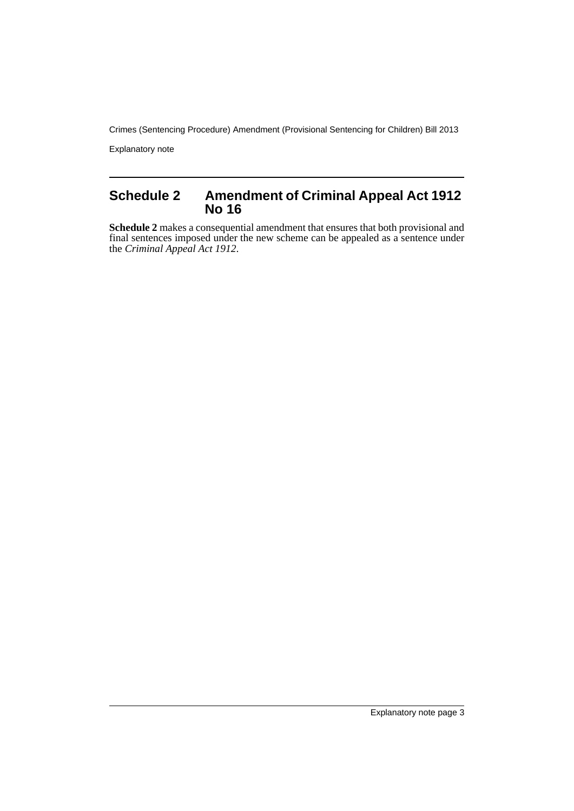Explanatory note

### **Schedule 2 Amendment of Criminal Appeal Act 1912 No 16**

**Schedule 2** makes a consequential amendment that ensures that both provisional and final sentences imposed under the new scheme can be appealed as a sentence under the *Criminal Appeal Act 1912*.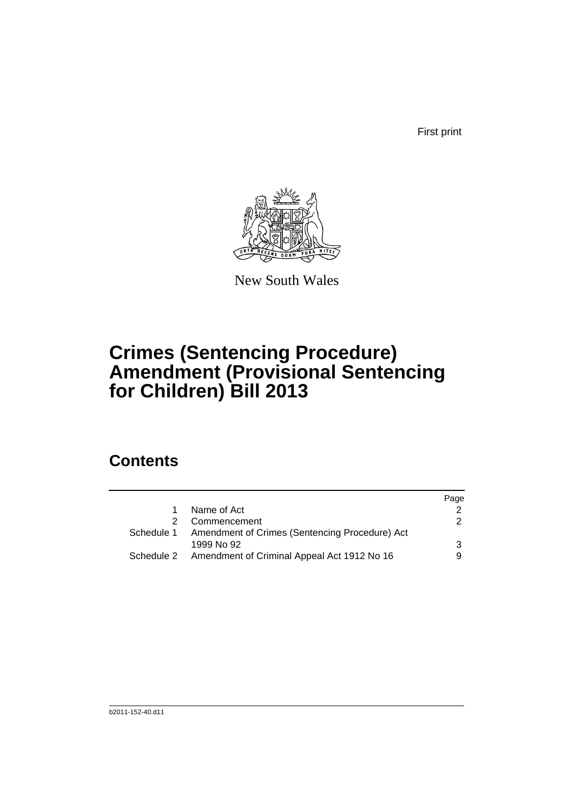First print



New South Wales

# **Crimes (Sentencing Procedure) Amendment (Provisional Sentencing for Children) Bill 2013**

## **Contents**

|                                                           | Page          |
|-----------------------------------------------------------|---------------|
| Name of Act                                               |               |
| Commencement                                              | $\mathcal{P}$ |
| Schedule 1 Amendment of Crimes (Sentencing Procedure) Act |               |
| 1999 No 92                                                | 3             |
| Schedule 2 Amendment of Criminal Appeal Act 1912 No 16    |               |
|                                                           |               |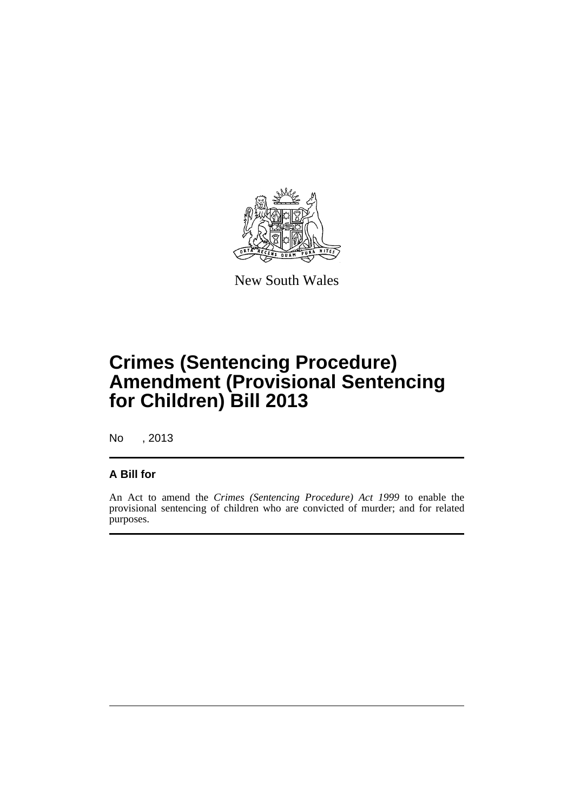

New South Wales

# **Crimes (Sentencing Procedure) Amendment (Provisional Sentencing for Children) Bill 2013**

No , 2013

#### **A Bill for**

An Act to amend the *Crimes (Sentencing Procedure) Act 1999* to enable the provisional sentencing of children who are convicted of murder; and for related purposes.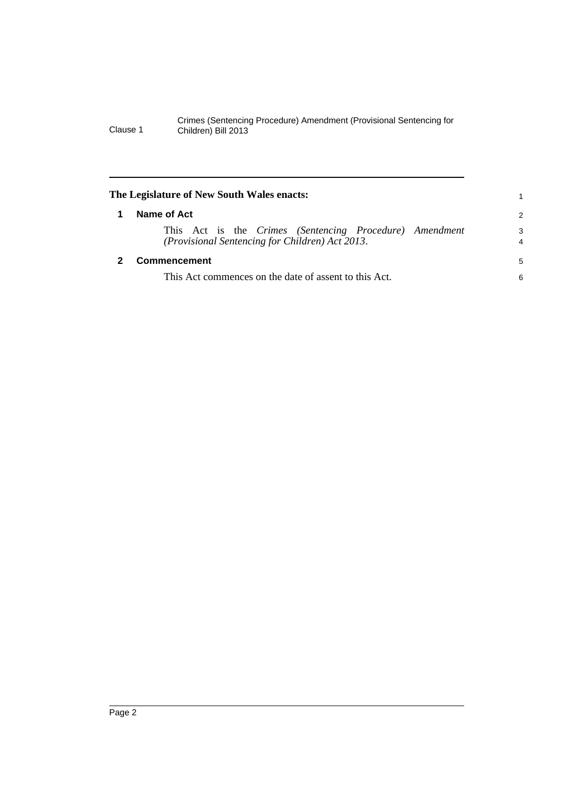<span id="page-7-1"></span><span id="page-7-0"></span>

| The Legislature of New South Wales enacts: |                                                                                                            |                     |  |  |
|--------------------------------------------|------------------------------------------------------------------------------------------------------------|---------------------|--|--|
|                                            | Name of Act                                                                                                | 2                   |  |  |
|                                            | This Act is the Crimes (Sentencing Procedure) Amendment<br>(Provisional Sentencing for Children) Act 2013. | 3<br>$\overline{4}$ |  |  |
|                                            | Commencement                                                                                               | 5                   |  |  |
|                                            | This Act commences on the date of assent to this Act.                                                      | 6                   |  |  |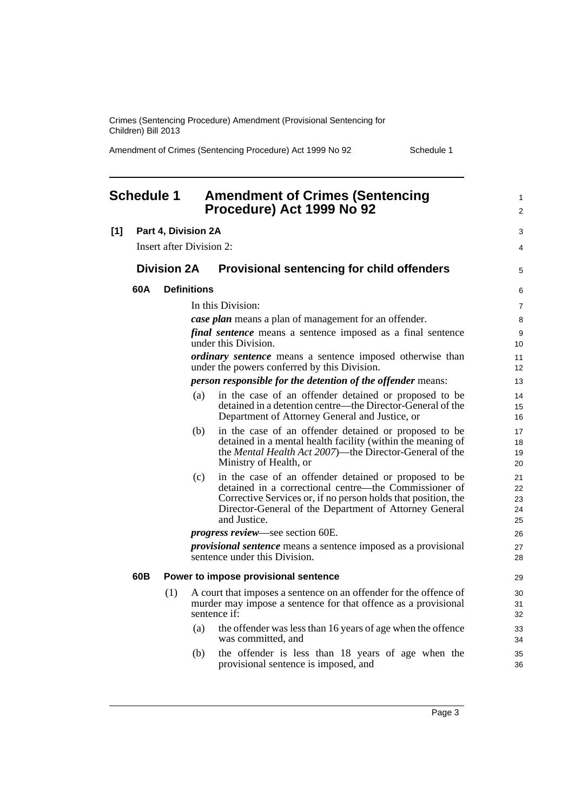Amendment of Crimes (Sentencing Procedure) Act 1999 No 92 Schedule 1

<span id="page-8-0"></span>

| <b>Schedule 1</b> |     |                          | <b>Amendment of Crimes (Sentencing</b><br>Procedure) Act 1999 No 92 | $\mathbf{1}$<br>$\overline{2}$                                                                                                                                                                                                                            |                            |
|-------------------|-----|--------------------------|---------------------------------------------------------------------|-----------------------------------------------------------------------------------------------------------------------------------------------------------------------------------------------------------------------------------------------------------|----------------------------|
| $[1]$             |     | Part 4, Division 2A      |                                                                     |                                                                                                                                                                                                                                                           | 3                          |
|                   |     | Insert after Division 2: |                                                                     |                                                                                                                                                                                                                                                           | 4                          |
|                   |     | <b>Division 2A</b>       |                                                                     | <b>Provisional sentencing for child offenders</b>                                                                                                                                                                                                         | 5                          |
|                   | 60A |                          | <b>Definitions</b>                                                  |                                                                                                                                                                                                                                                           | 6                          |
|                   |     |                          |                                                                     | In this Division:                                                                                                                                                                                                                                         | $\overline{7}$             |
|                   |     |                          |                                                                     | <b>case plan</b> means a plan of management for an offender.                                                                                                                                                                                              | 8                          |
|                   |     |                          |                                                                     | <i>final sentence</i> means a sentence imposed as a final sentence<br>under this Division.                                                                                                                                                                | 9<br>10                    |
|                   |     |                          |                                                                     | <i>ordinary sentence</i> means a sentence imposed otherwise than<br>under the powers conferred by this Division.                                                                                                                                          | 11<br>12                   |
|                   |     |                          |                                                                     | <i>person responsible for the detention of the offender means:</i>                                                                                                                                                                                        | 13                         |
|                   |     |                          | (a)                                                                 | in the case of an offender detained or proposed to be<br>detained in a detention centre—the Director-General of the<br>Department of Attorney General and Justice, or                                                                                     | 14<br>15<br>16             |
|                   |     |                          | (b)                                                                 | in the case of an offender detained or proposed to be<br>detained in a mental health facility (within the meaning of<br>the Mental Health Act 2007)—the Director-General of the<br>Ministry of Health, or                                                 | 17<br>18<br>19<br>20       |
|                   |     |                          | (c)                                                                 | in the case of an offender detained or proposed to be<br>detained in a correctional centre—the Commissioner of<br>Corrective Services or, if no person holds that position, the<br>Director-General of the Department of Attorney General<br>and Justice. | 21<br>22<br>23<br>24<br>25 |
|                   |     |                          | <i>progress review</i> —see section 60E.                            | 26                                                                                                                                                                                                                                                        |                            |
|                   |     |                          |                                                                     | <i>provisional sentence</i> means a sentence imposed as a provisional<br>sentence under this Division.                                                                                                                                                    | 27<br>28                   |
|                   | 60B |                          |                                                                     | Power to impose provisional sentence                                                                                                                                                                                                                      | 29                         |
|                   |     | (1)                      |                                                                     | A court that imposes a sentence on an offender for the offence of<br>murder may impose a sentence for that offence as a provisional<br>sentence if:                                                                                                       | 30<br>31<br>32             |
|                   |     |                          | (a)                                                                 | the offender was less than 16 years of age when the offence<br>was committed, and                                                                                                                                                                         | 33<br>34                   |
|                   |     |                          | (b)                                                                 | the offender is less than 18 years of age when the<br>provisional sentence is imposed, and                                                                                                                                                                | 35<br>36                   |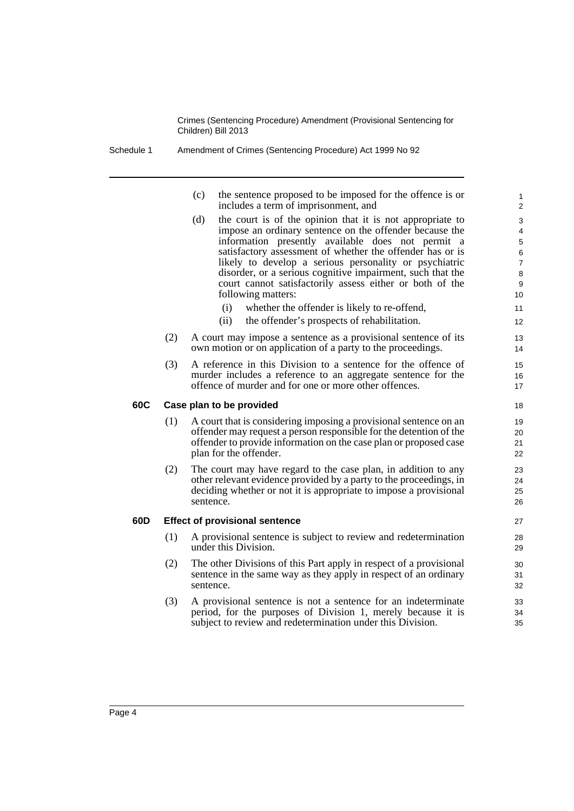Schedule 1 Amendment of Crimes (Sentencing Procedure) Act 1999 No 92

| (c) | the sentence proposed to be imposed for the offence is or |
|-----|-----------------------------------------------------------|
|     | includes a term of imprisonment, and                      |

- (d) the court is of the opinion that it is not appropriate to impose an ordinary sentence on the offender because the information presently available does not permit a satisfactory assessment of whether the offender has or is likely to develop a serious personality or psychiatric disorder, or a serious cognitive impairment, such that the court cannot satisfactorily assess either or both of the following matters:
	- (i) whether the offender is likely to re-offend,
	- (ii) the offender's prospects of rehabilitation.
- (2) A court may impose a sentence as a provisional sentence of its own motion or on application of a party to the proceedings.
- (3) A reference in this Division to a sentence for the offence of murder includes a reference to an aggregate sentence for the offence of murder and for one or more other offences.

#### **60C Case plan to be provided**

- (1) A court that is considering imposing a provisional sentence on an offender may request a person responsible for the detention of the offender to provide information on the case plan or proposed case plan for the offender.
- (2) The court may have regard to the case plan, in addition to any other relevant evidence provided by a party to the proceedings, in deciding whether or not it is appropriate to impose a provisional sentence.

#### **60D Effect of provisional sentence**

- (1) A provisional sentence is subject to review and redetermination under this Division.
- (2) The other Divisions of this Part apply in respect of a provisional sentence in the same way as they apply in respect of an ordinary sentence.
- (3) A provisional sentence is not a sentence for an indeterminate period, for the purposes of Division 1, merely because it is subject to review and redetermination under this Division.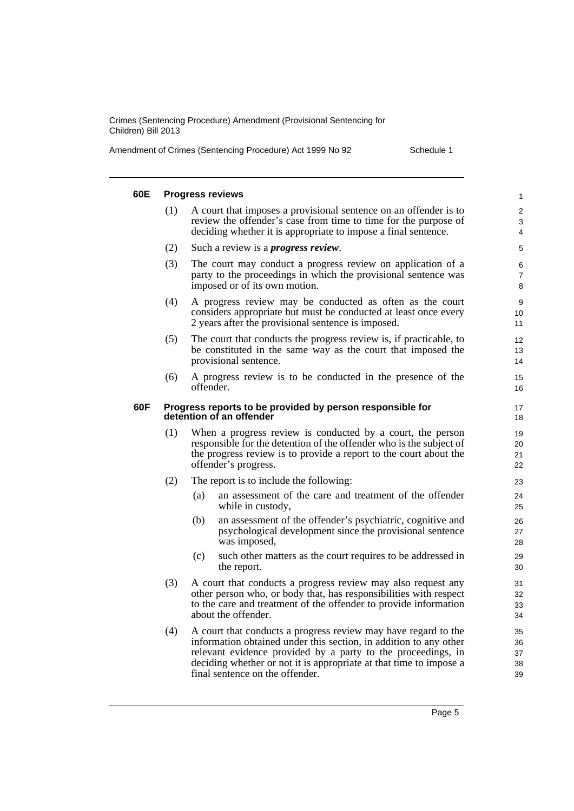Amendment of Crimes (Sentencing Procedure) Act 1999 No 92 Schedule 1

| 60E |     | <b>Progress reviews</b>                                                                                                                                                                                                        | 1                        |
|-----|-----|--------------------------------------------------------------------------------------------------------------------------------------------------------------------------------------------------------------------------------|--------------------------|
|     | (1) | A court that imposes a provisional sentence on an offender is to<br>review the offender's case from time to time for the purpose of<br>deciding whether it is appropriate to impose a final sentence.                          | 2<br>3<br>4              |
|     | (2) | Such a review is a <i>progress review</i> .                                                                                                                                                                                    | 5                        |
|     | (3) | The court may conduct a progress review on application of a<br>party to the proceedings in which the provisional sentence was<br>imposed or of its own motion.                                                                 | 6<br>$\overline{7}$<br>8 |
|     | (4) | A progress review may be conducted as often as the court<br>considers appropriate but must be conducted at least once every<br>2 years after the provisional sentence is imposed.                                              | 9<br>10<br>11            |
|     | (5) | The court that conducts the progress review is, if practicable, to<br>be constituted in the same way as the court that imposed the<br>provisional sentence.                                                                    | 12<br>13<br>14           |
|     | (6) | A progress review is to be conducted in the presence of the<br>offender.                                                                                                                                                       | 15<br>16                 |
| 60F |     | Progress reports to be provided by person responsible for<br>detention of an offender                                                                                                                                          | 17<br>18                 |
|     | (1) | When a progress review is conducted by a court, the person<br>responsible for the detention of the offender who is the subject of<br>the progress review is to provide a report to the court about the<br>offender's progress. | 19<br>20<br>21<br>22     |
|     | (2) | The report is to include the following:                                                                                                                                                                                        | 23                       |
|     |     | an assessment of the care and treatment of the offender<br>(a)<br>while in custody,                                                                                                                                            | 24<br>25                 |
|     |     | (b)<br>an assessment of the offender's psychiatric, cognitive and<br>psychological development since the provisional sentence<br>was imposed,                                                                                  | 26<br>27<br>28           |
|     |     | (c)<br>such other matters as the court requires to be addressed in<br>the report.                                                                                                                                              | 29<br>30                 |
|     | (3) | A court that conducts a progress review may also request any<br>other person who, or body that, has responsibilities with respect<br>to the care and treatment of the offender to provide information<br>about the offender.   | 31<br>32<br>33<br>34     |
|     | (4) | A court that conducts a progress review may have regard to the<br>information obtained under this section, in addition to any other                                                                                            | 35<br>36                 |
|     |     | relevant evidence provided by a party to the proceedings, in<br>deciding whether or not it is appropriate at that time to impose a<br>final sentence on the offender.                                                          | 37<br>38<br>39           |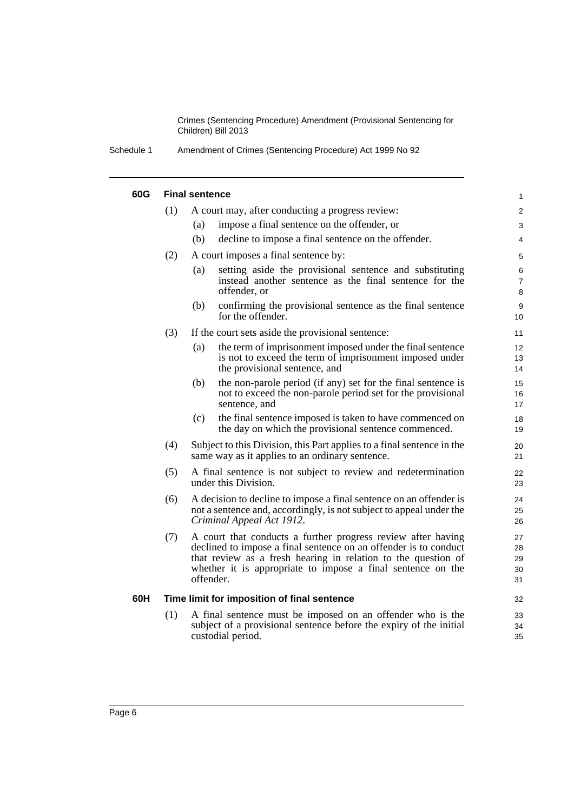Schedule 1 Amendment of Crimes (Sentencing Procedure) Act 1999 No 92

#### **60G Final sentence**

| 60G                              |                                             | <b>Final sentence</b>                                                                                                                                                                                                                                                         | $\mathbf{1}$               |  |
|----------------------------------|---------------------------------------------|-------------------------------------------------------------------------------------------------------------------------------------------------------------------------------------------------------------------------------------------------------------------------------|----------------------------|--|
|                                  | (1)                                         | A court may, after conducting a progress review:                                                                                                                                                                                                                              |                            |  |
|                                  |                                             | impose a final sentence on the offender, or<br>(a)                                                                                                                                                                                                                            | 3                          |  |
|                                  |                                             | (b)<br>decline to impose a final sentence on the offender.                                                                                                                                                                                                                    | 4                          |  |
|                                  | (2)                                         | A court imposes a final sentence by:                                                                                                                                                                                                                                          | 5                          |  |
|                                  |                                             | setting aside the provisional sentence and substituting<br>(a)<br>instead another sentence as the final sentence for the<br>offender, or                                                                                                                                      | 6<br>$\overline{7}$<br>8   |  |
|                                  |                                             | (b)<br>confirming the provisional sentence as the final sentence<br>for the offender.                                                                                                                                                                                         | $\boldsymbol{9}$<br>10     |  |
|                                  | (3)                                         | If the court sets aside the provisional sentence:                                                                                                                                                                                                                             | 11                         |  |
|                                  |                                             | the term of imprisonment imposed under the final sentence<br>(a)<br>is not to exceed the term of imprisonment imposed under<br>the provisional sentence, and                                                                                                                  | 12<br>13<br>14             |  |
|                                  |                                             | the non-parole period (if any) set for the final sentence is<br>(b)<br>not to exceed the non-parole period set for the provisional<br>sentence, and                                                                                                                           | 15<br>16<br>17             |  |
|                                  |                                             | the final sentence imposed is taken to have commenced on<br>(c)<br>the day on which the provisional sentence commenced.                                                                                                                                                       | 18<br>19                   |  |
|                                  | (4)                                         | Subject to this Division, this Part applies to a final sentence in the<br>same way as it applies to an ordinary sentence.                                                                                                                                                     | 20<br>21                   |  |
|                                  | (5)                                         | A final sentence is not subject to review and redetermination<br>under this Division.                                                                                                                                                                                         | 22<br>23                   |  |
| (6)<br>Criminal Appeal Act 1912. |                                             | A decision to decline to impose a final sentence on an offender is<br>not a sentence and, accordingly, is not subject to appeal under the                                                                                                                                     | 24<br>25<br>26             |  |
|                                  | (7)                                         | A court that conducts a further progress review after having<br>declined to impose a final sentence on an offender is to conduct<br>that review as a fresh hearing in relation to the question of<br>whether it is appropriate to impose a final sentence on the<br>offender. | 27<br>28<br>29<br>30<br>31 |  |
| 60H                              | Time limit for imposition of final sentence |                                                                                                                                                                                                                                                                               |                            |  |
|                                  | (1)                                         | A final sentence must be imposed on an offender who is the<br>subject of a provisional sentence before the expiry of the initial<br>custodial period.                                                                                                                         | 33<br>34<br>35             |  |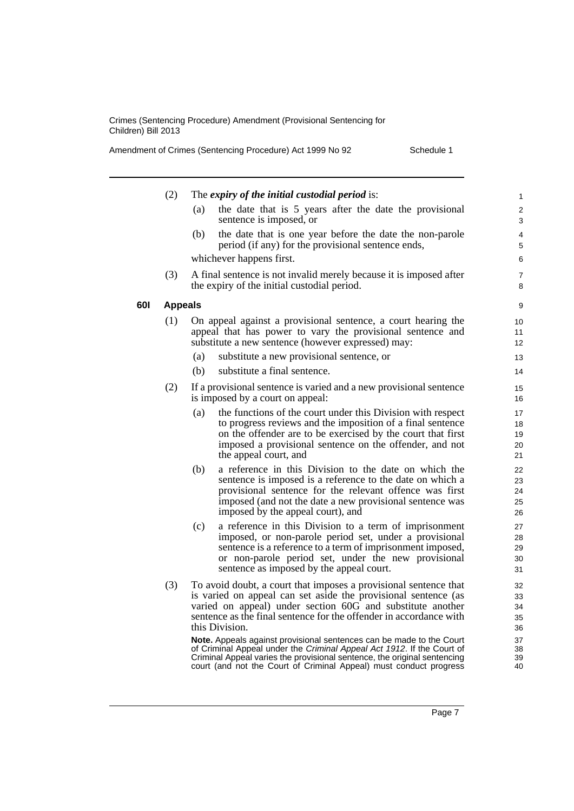Amendment of Crimes (Sentencing Procedure) Act 1999 No 92 Schedule 1

|            | (2)            | The expiry of the initial custodial period is:                                                                                                                                                                                                                                                   | 1                          |  |  |
|------------|----------------|--------------------------------------------------------------------------------------------------------------------------------------------------------------------------------------------------------------------------------------------------------------------------------------------------|----------------------------|--|--|
|            |                | the date that is 5 years after the date the provisional<br>(a)<br>sentence is imposed, or                                                                                                                                                                                                        | $\overline{c}$<br>3        |  |  |
|            |                | the date that is one year before the date the non-parole<br>(b)<br>period (if any) for the provisional sentence ends,                                                                                                                                                                            | 4<br>5                     |  |  |
|            |                | whichever happens first.                                                                                                                                                                                                                                                                         | 6                          |  |  |
|            | (3)            | A final sentence is not invalid merely because it is imposed after<br>the expiry of the initial custodial period.                                                                                                                                                                                | 7<br>8                     |  |  |
| <b>60I</b> | <b>Appeals</b> |                                                                                                                                                                                                                                                                                                  | 9                          |  |  |
|            | (1)            | On appeal against a provisional sentence, a court hearing the<br>appeal that has power to vary the provisional sentence and<br>substitute a new sentence (however expressed) may:                                                                                                                |                            |  |  |
|            |                | substitute a new provisional sentence, or<br>(a)                                                                                                                                                                                                                                                 | 13                         |  |  |
|            |                | substitute a final sentence.<br>(b)                                                                                                                                                                                                                                                              | 14                         |  |  |
|            | (2)            | If a provisional sentence is varied and a new provisional sentence<br>is imposed by a court on appeal:                                                                                                                                                                                           | 15<br>16                   |  |  |
|            |                | the functions of the court under this Division with respect<br>(a)<br>to progress reviews and the imposition of a final sentence<br>on the offender are to be exercised by the court that first<br>imposed a provisional sentence on the offender, and not<br>the appeal court, and              | 17<br>18<br>19<br>20<br>21 |  |  |
|            |                | a reference in this Division to the date on which the<br>(b)<br>sentence is imposed is a reference to the date on which a<br>provisional sentence for the relevant offence was first<br>imposed (and not the date a new provisional sentence was<br>imposed by the appeal court), and            | 22<br>23<br>24<br>25<br>26 |  |  |
|            |                | a reference in this Division to a term of imprisonment<br>(c)<br>imposed, or non-parole period set, under a provisional<br>sentence is a reference to a term of imprisonment imposed,<br>or non-parole period set, under the new provisional<br>sentence as imposed by the appeal court.         | 27<br>28<br>29<br>30<br>31 |  |  |
|            | (3)            | To avoid doubt, a court that imposes a provisional sentence that<br>is varied on appeal can set aside the provisional sentence (as<br>varied on appeal) under section 60G and substitute another<br>sentence as the final sentence for the offender in accordance with<br>this Division.         | 32<br>33<br>34<br>35<br>36 |  |  |
|            |                | Note. Appeals against provisional sentences can be made to the Court<br>of Criminal Appeal under the Criminal Appeal Act 1912. If the Court of<br>Criminal Appeal varies the provisional sentence, the original sentencing<br>court (and not the Court of Criminal Appeal) must conduct progress | 37<br>38<br>39<br>40       |  |  |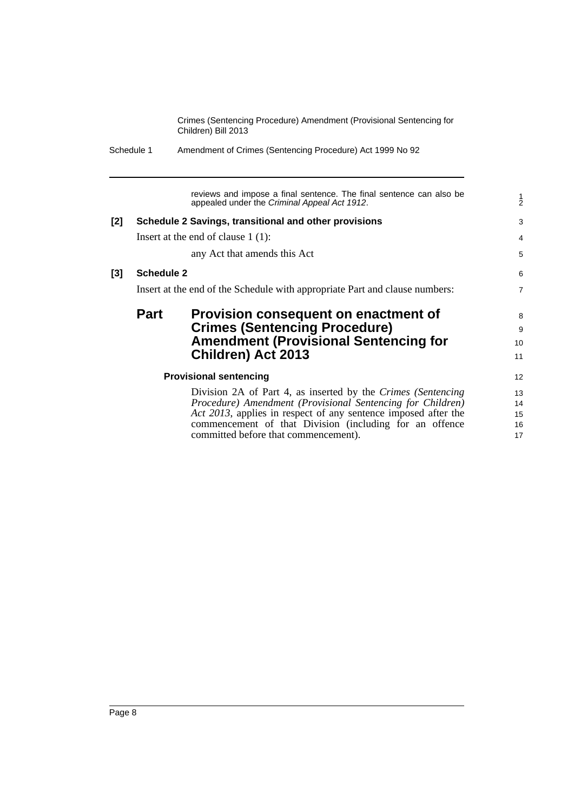Schedule 1 Amendment of Crimes (Sentencing Procedure) Act 1999 No 92

reviews and impose a final sentence. The final sentence can also be appealed under the *Criminal Appeal Act 1912*. **[2] Schedule 2 Savings, transitional and other provisions** Insert at the end of clause 1 (1): any Act that amends this Act **[3] Schedule 2** Insert at the end of the Schedule with appropriate Part and clause numbers: **Part Provision consequent on enactment of Crimes (Sentencing Procedure) Amendment (Provisional Sentencing for Children) Act 2013 Provisional sentencing** Division 2A of Part 4, as inserted by the *Crimes (Sentencing Procedure) Amendment (Provisional Sentencing for Children) Act 2013*, applies in respect of any sentence imposed after the commencement of that Division (including for an offence committed before that commencement). 1 2 3 4 5 6 7 8 9 10 11 12 13 14 15 16 17